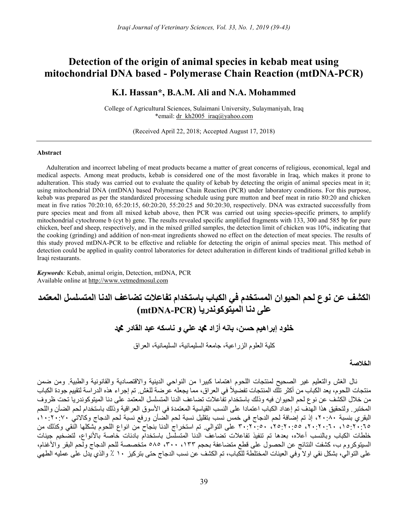## Detection of the origin of animal species in kebab meat using mitochondrial DNA based - Polymerase Chain Reaction (mtDNA-PCR)

### K.I. Hassan\*, B.A.M. Ali and N.A. Mohammed

College of Agricultural Sciences, Sulaimani University, Sulaymaniyah, Iraq \*email: dr\_kh2005\_iraq@yahoo.com

(Received April 22, 2018; Accepted August 17, 2018)

#### Abstract

Adulteration and incorrect labeling of meat products became a matter of great concerns of religious, economical, legal and medical aspects. Among meat products, kebab is considered one of the most favorable in Iraq, which makes it prone to adulteration. This study was carried out to evaluate the quality of kebab by detecting the origin of animal species meat in it; using mitochondrial DNA (mtDNA) based Polymerase Chain Reaction (PCR) under laboratory conditions. For this purpose, kebab was prepared as per the standardized processing schedule using pure mutton and beef meat in ratio 80:20 and chicken meat in five ratios 70:20:10, 65:20:15, 60:20:20, 55:20:25 and 50:20:30, respectively. DNA was extracted successfully from pure species meat and from all mixed kebab above, then PCR was carried out using species-specific primers, to amplify mitochondrial cytochrome b (cyt b) gene. The results revealed specific amplified fragments with 133, 300 and 585 bp for pure chicken, beef and sheep, respectively, and in the mixed grilled samples, the detection limit of chicken was 10%, indicating that the cooking (grinding) and addition of non-meat ingredients showed no effect on the detection of meat species. The results of this study proved mtDNA-PCR to be effective and reliable for detecting the origin of animal species meat. This method of detection could be applied in quality control laboratories for detect adulteration in different kinds of traditional grilled kebab in Iraqi restaurants.

Keywords: Kebab, animal origin, Detection, mtDNA, PCR Available online at http://www.vetmedmosul.com

# الكشف عن نوع لحم الحيوان المستخدم في الكباب باستخدام تفاعلات تضاعف الدنا المتسلسل المعتمد على دنا الميتوكوندريا (PCR-mtDNA ( خلود إبراهيم حسن، بانه أزاد محد علي و ناسكه عبد القادر محد كلية العلوم الزراعية، جامعة السليمانية، السليمانية، العراق

#### الخلاصة

نال الغش والتعليم غير الصحيح لمنتجات اللحوم اهتماما كبيرا من النواحي الدينية والاقتصادية والقانونية والطبية. ومن ضمن منتجات اللحوم، يعد الكباب من أكثر تلّك المنتجات تفضيلاً في العراق، مما يجعله عرضة للغش. تم إجراء هذه الدراسة لتقييم جودة الكباب من خلال الكشف عن نوع لحم الحيوان فيه وذلك باستخدام تفاعلات تضاعف الدنا المتسلسل المعتمد على دنا الميتوكوندريا تحت ظروف المختبر. ولتحقيق هذا الهدف تم إعداد الكباب اعتمادا على النسب القياسية المعتمدة في الأسوق العراقية وذلك باستخدام لحم الضأن واللحم البقري بنسبة ،٢٠:٨٠ إذ تم إضافة لحم الدجاج في خمس نسب بتقليل نسبة لحم الضأن ورفع نسبة لحم الدجاج وكالاتي ،١٠:٢٠:٧٠ ،١٥:٢٠:٦٥ ،٢٠:٢٠:٦٠ ،٢٥:٢٠:٥٥ ٣٠:٢٠:٥٠ على التوالي. تم استخراج الدنا بنجاح من انواع اللحوم بشكلها النقي وكذلك من خلطات الكباب وبالنسب أعلاه، بعدها تم تنفيذ تفاعلات تضاعف الدنا المتسلسل باستخدام بادئات خاصة بالأنواع، لتضخيم جينات السيتوكروم ب، كشفت النتائج عن الحصول على قطع متضاعفة بحجم ،١٣٣ ،٣٠٠ ٥٨٥ متخصصة للحم الدجاج ولحم البقر والأغنام، على التوالي، بشكل نقي اولا وفي العينات المختلطة للكباب، تم الكشف عن نسب الدجاج حتى بتركيز ١٠ ٪ والذي يدل على عمليه الطهي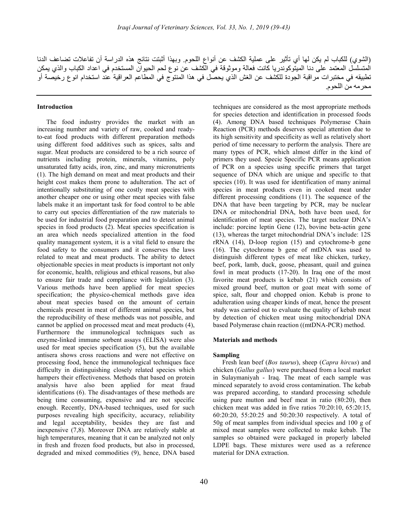(الشوي) للكباب لم يكن لها أي تأثير على عملية الكشف عن أنواع اللحوم. وبهذا أثبتت نتائج هذه الدراسة أن تفاعلات تضاعف الدنا المتسلسل المعتمد على دنا الميتوكوندريا كانت فعالة وموثوقة في الكشف عن نوع لحم الحيوان المستخدم في اعداد الكباب والذي يمكن تطبيقه في مختبرات مراقبة الجودة للكشف عن الغش الذي يحصل في هذا المنتوج في المطاعم العراقية عند استخدام انوع رخيصة أو محرمه من اللحوم.

#### Introduction

The food industry provides the market with an increasing number and variety of raw, cooked and readyto-eat food products with different preparation methods using different food additives such as spices, salts and sugar. Meat products are considered to be a rich source of nutrients including protein, minerals, vitamins, poly unsaturated fatty acids, iron, zinc, and many micronutrients (1). The high demand on meat and meat products and their height cost makes them prone to adulteration. The act of intentionally substituting of one costly meat species with another cheaper one or using other meat species with false labels make it an important task for food control to be able to carry out species differentiation of the raw materials to be used for industrial food preparation and to detect animal species in food products (2). Meat species specification is an area which needs specialized attention in the food quality management system, it is a vital field to ensure the food safety to the consumers and it conserves the laws related to meat and meat products. The ability to detect objectionable species in meat products is important not only for economic, health, religious and ethical reasons, but also to ensure fair trade and compliance with legislation (3). Various methods have been applied for meat species specification; the physico-chemical methods gave idea about meat species based on the amount of certain chemicals present in meat of different animal species, but the reproducibility of these methods was not possible, and cannot be applied on processed meat and meat products (4), Furthermore the immunological techniques such as enzyme-linked immune sorbent assays (ELISA) were also used for meat species specification (5), but the available antisera shows cross reactions and were not effective on processing food, hence the immunological techniques face difficulty in distinguishing closely related species which hampers their effectiveness. Methods that based on protein analysis have also been applied for meat fraud identifications (6). The disadvantages of these methods are being time consuming, expensive and are not specific enough. Recently, DNA-based techniques, used for such purposes revealing high specificity, accuracy, reliability and legal acceptability, besides they are fast and inexpensive (7,8). Moreover DNA are relatively stable at high temperatures, meaning that it can be analyzed not only in fresh and frozen food products, but also in processed, degraded and mixed commodities (9), hence, DNA based

techniques are considered as the most appropriate methods for species detection and identification in processed foods (4). Among DNA based techniques Polymerase Chain Reaction (PCR) methods deserves special attention due to its high sensitivity and specificity as well as relatively short period of time necessary to perform the analysis. There are many types of PCR, which almost differ in the kind of primers they used. Specie Specific PCR means application of PCR on a species using specific primers that target sequence of DNA which are unique and specific to that species (10). It was used for identification of many animal species in meat products even in cooked meat under different processing conditions (11). The sequence of the DNA that have been targeting by PCR, may be nuclear DNA or mitochondrial DNA, both have been used, for identification of meat species. The target nuclear DNA's include: porcine leptin Gene (12), bovine beta-actin gene (13), whereas the target mitochondrial DNA's include: 12S rRNA (14), D-loop region (15) and cytochrome-b gene (16). The cytochrome b gene of mtDNA was used to distinguish different types of meat like chicken, turkey, beef, pork, lamb, duck, goose, pheasant, quail and guinea fowl in meat products (17-20). In Iraq one of the most favorite meat products is kebab (21) which consists of mixed ground beef, mutton or goat meat with some of spice, salt, flour and chopped onion. Kebab is prone to adulteration using cheaper kinds of meat, hence the present study was carried out to evaluate the quality of kebab meat by detection of chicken meat using mitochondrial DNA based Polymerase chain reaction ((mtDNA-PCR) method.

#### Materials and methods

#### Sampling

Fresh lean beef (Bos taurus), sheep (Capra hircus) and chicken (Gallus gallus) were purchased from a local market in Sulaymaniyah - Iraq. The meat of each sample was minced separately to avoid cross contamination. The kebab was prepared according, to standard processing schedule using pure mutton and beef meat in ratio (80:20), then chicken meat was added in five ratios 70:20:10, 65:20:15, 60:20:20, 55:20:25 and 50:20:30 respectively. A total of 50g of meat samples from individual species and 100 g of mixed meat samples were collected to make kebab. The samples so obtained were packaged in properly labeled LDPE bags. These mixtures were used as a reference material for DNA extraction.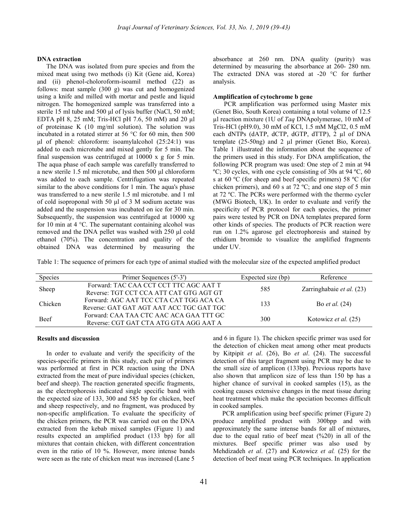#### DNA extraction

The DNA was isolated from pure species and from the mixed meat using two methods (i) Kit (Gene aid, Korea) and (ii) phenol-choloroform-isoamil method (22) as follows: meat sample (300 g) was cut and homogenized using a knife and milled with mortar and pestle and liquid nitrogen. The homogenized sample was transferred into a sterile 15 ml tube and 500 μl of lysis buffer (NaCl, 50 mM; EDTA pH 8, 25 mM; Tris-HCl pH 7.6, 50 mM) and 20 μl of proteinase K (10 mg/ml solution). The solution was incubated in a rotated stirrer at 56 °C for 60 min, then 500 μl of phenol: chloroform: isoamylalcohol (25:24:1) was added to each microtube and mixed gently for 5 min. The final suspension was centrifuged at 10000 x g for 5 min. The aqua phase of each sample was carefully transferred to a new sterile 1.5 ml microtube, and then 500 μl chloroform was added to each sample. Centrifugation was repeated similar to the above conditions for 1 min. The aqua's phase was transferred to a new sterile 1.5 ml microtube. and 1 ml of cold isoproponal with 50 μl of 3 M sodium acetate was added and the suspension was incubated on ice for 30 min. Subsequently, the suspension was centrifuged at 10000 xg for 10 min at 4 °C. The supernatant containing alcohol was removed and the DNA pellet was washed with 250 μl cold ethanol (70%). The concentration and quality of the obtained DNA was determined by measuring the

absorbance at 260 nm. DNA quality (purity) was determined by measuring the absorbance at 260- 280 nm. The extracted DNA was stored at -20 °C for further analysis.

#### Amplification of cytochrome b gene

 PCR amplification was performed using Master mix (Genet Bio, South Korea) containing a total volume of 12.5 µl reaction mixture (1U of Taq DNApolymerase, 10 mM of Tris-HCl (pH9.0), 30 mM of KCl, 1.5 mM MgCl2, 0.5 mM each dNTPs (dATP, dCTP, dGTP, dTTP), 2 µl of DNA template (25-50ng) and 2 µl primer (Genet Bio, Korea). Table 1 illustrated the information about the sequence of the primers used in this study. For DNA amplification, the following PCR program was used: One step of 2 min at 94 ºC; 30 cycles, with one cycle consisting of 30s at 94 ºC, 60 s at 60 ºC (for sheep and beef specific primers) 58 ºC (for chicken primers), and 60 s at 72 ºC; and one step of 5 min at 72 ºC. The PCRs were performed with the thermo cycler (MWG Biotech, UK). In order to evaluate and verify the specificity of PCR protocol for each species, the primer pairs were tested by PCR on DNA templates prepared form other kinds of species. The products of PCR reaction were run on 1.2% agarose gel electrophoresis and stained by ethidium bromide to visualize the amplified fragments under UV.

Table 1: The sequence of primers for each type of animal studied with the molecular size of the expected amplified product

| Species     | Primer Sequences (5'-3')                 | Expected size (bp) | Reference                   |
|-------------|------------------------------------------|--------------------|-----------------------------|
| Sheep       | Forward: TAC CAA CCT CCT TTC AGC AAT T   | 585                | Zarringhabaie et al. (23)   |
|             | Reverse: TGT CCT CCA ATT CAT GTG AGT GT  |                    |                             |
| Chicken     | Forward: AGC AAT TCC CTA CAT TGG ACA CA  | 133                | Bo <i>et al.</i> $(24)$     |
|             | Reverse: GAT GAT AGT AAT ACC TGC GAT TGC |                    |                             |
| <b>Beef</b> | Forward: CAA TAA CTC AAC ACA GAA TTT GC  | 300                | Kotowicz <i>et al.</i> (25) |
|             | Reverse: CGT GAT CTA ATG GTA AGG AAT A   |                    |                             |

#### Results and discussion

In order to evaluate and verify the specificity of the species-specific primers in this study, each pair of primers was performed at first in PCR reaction using the DNA extracted from the meat of pure individual species (chicken, beef and sheep). The reaction generated specific fragments, as the electrophoresis indicated single specific band with the expected size of 133, 300 and 585 bp for chicken, beef and sheep respectively, and no fragment, was produced by non-specific amplification. To evaluate the specificity of the chicken primers, the PCR was carried out on the DNA extracted from the kebab mixed samples (Figure 1) and results expected an amplified product (133 bp) for all mixtures that contain chicken, with different concentration even in the ratio of 10 %. However, more intense bands were seen as the rate of chicken meat was increased (Lane 5

and 6 in figure 1). The chicken specific primer was used for the detection of chicken meat among other meat products by Kitpipit et al. (26), Bo et al. (24). The successful detection of this target fragment using PCR may be due to the small size of amplicon (133bp). Previous reports have also shown that amplicon size of less than 150 bp has a higher chance of survival in cooked samples (15), as the cooking causes extensive changes in the meat tissue during heat treatment which make the speciation becomes difficult in cooked samples.

PCR amplification using beef specific primer (Figure 2) produce amplified product with 300bpp and with approximately the same intense bands for all of mixtures, due to the equal ratio of beef meat (%20) in all of the mixtures. Beef specific primer was also used by Mehdizadeh et al. (27) and Kotowicz et al. (25) for the detection of beef meat using PCR techniques. In application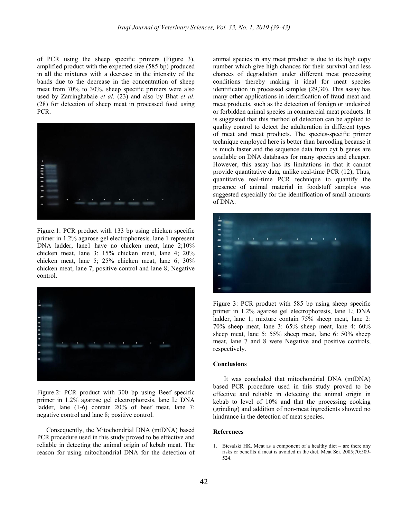of PCR using the sheep specific primers (Figure 3), amplified product with the expected size (585 bp) produced in all the mixtures with a decrease in the intensity of the bands due to the decrease in the concentration of sheep meat from 70% to 30%, sheep specific primers were also used by Zarringhabaie et al. (23) and also by Bhat et al. (28) for detection of sheep meat in processed food using PCR.



Figure.1: PCR product with 133 bp using chicken specific primer in 1.2% agarose gel electrophoresis. lane 1 represent DNA ladder, lane1 have no chicken meat, lane 2;10% chicken meat, lane 3: 15% chicken meat, lane 4; 20% chicken meat, lane 5; 25% chicken meat, lane 6; 30% chicken meat, lane 7; positive control and lane 8; Negative control.



Figure.2: PCR product with 300 bp using Beef specific primer in 1.2% agarose gel electrophoresis, lane L; DNA ladder, lane (1-6) contain 20% of beef meat, lane 7; negative control and lane 8; positive control.

Consequently, the Mitochondrial DNA (mtDNA) based PCR procedure used in this study proved to be effective and reliable in detecting the animal origin of kebab meat. The reason for using mitochondrial DNA for the detection of animal species in any meat product is due to its high copy number which give high chances for their survival and less chances of degradation under different meat processing conditions thereby making it ideal for meat species identification in processed samples (29,30). This assay has many other applications in identification of fraud meat and meat products, such as the detection of foreign or undesired or forbidden animal species in commercial meat products. It is suggested that this method of detection can be applied to quality control to detect the adulteration in different types of meat and meat products. The species-specific primer technique employed here is better than barcoding because it is much faster and the sequence data from cyt b genes are available on DNA databases for many species and cheaper. However, this assay has its limitations in that it cannot provide quantitative data, unlike real-time PCR (12), Thus, quantitative real-time PCR technique to quantify the presence of animal material in foodstuff samples was suggested especially for the identification of small amounts of DNA.



Figure 3: PCR product with 585 bp using sheep specific primer in 1.2% agarose gel electrophoresis, lane L; DNA ladder, lane 1; mixture contain 75% sheep meat, lane 2: 70% sheep meat, lane 3: 65% sheep meat, lane 4: 60% sheep meat, lane 5: 55% sheep meat, lane 6: 50% sheep meat, lane 7 and 8 were Negative and positive controls, respectively.

#### **Conclusions**

 It was concluded that mitochondrial DNA (mtDNA) based PCR procedure used in this study proved to be effective and reliable in detecting the animal origin in kebab to level of 10% and that the processing cooking (grinding) and addition of non-meat ingredients showed no hindrance in the detection of meat species.

#### References

1. Biesalski HK. Meat as a component of a healthy diet – are there any risks or benefits if meat is avoided in the diet. Meat Sci. 2005;70:509- 524.